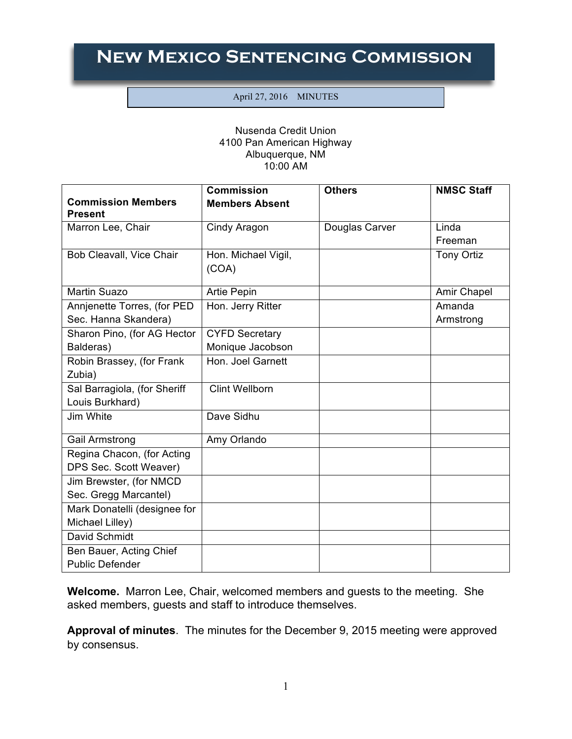## **New Mexico Sentencing Commission**

## April 27, 2016 MINUTES

## Nusenda Credit Union 4100 Pan American Highway Albuquerque, NM 10:00 AM

|                                             | <b>Commission</b>     | <b>Others</b>  | <b>NMSC Staff</b> |
|---------------------------------------------|-----------------------|----------------|-------------------|
| <b>Commission Members</b><br><b>Present</b> | <b>Members Absent</b> |                |                   |
| Marron Lee, Chair                           | Cindy Aragon          | Douglas Carver | Linda             |
|                                             |                       |                | Freeman           |
| Bob Cleavall, Vice Chair                    | Hon. Michael Vigil,   |                | Tony Ortiz        |
|                                             | (COA)                 |                |                   |
| <b>Martin Suazo</b>                         | <b>Artie Pepin</b>    |                | Amir Chapel       |
| Annjenette Torres, (for PED                 | Hon. Jerry Ritter     |                | Amanda            |
| Sec. Hanna Skandera)                        |                       |                | Armstrong         |
| Sharon Pino, (for AG Hector                 | <b>CYFD Secretary</b> |                |                   |
| Balderas)                                   | Monique Jacobson      |                |                   |
| Robin Brassey, (for Frank                   | Hon. Joel Garnett     |                |                   |
| Zubia)                                      |                       |                |                   |
| Sal Barragiola, (for Sheriff                | <b>Clint Wellborn</b> |                |                   |
| Louis Burkhard)                             |                       |                |                   |
| Jim White                                   | Dave Sidhu            |                |                   |
| Gail Armstrong                              | Amy Orlando           |                |                   |
| Regina Chacon, (for Acting                  |                       |                |                   |
| DPS Sec. Scott Weaver)                      |                       |                |                   |
| Jim Brewster, (for NMCD                     |                       |                |                   |
| Sec. Gregg Marcantel)                       |                       |                |                   |
| Mark Donatelli (designee for                |                       |                |                   |
| Michael Lilley)                             |                       |                |                   |
| David Schmidt                               |                       |                |                   |
| Ben Bauer, Acting Chief                     |                       |                |                   |
| <b>Public Defender</b>                      |                       |                |                   |

**Welcome.** Marron Lee, Chair, welcomed members and guests to the meeting. She asked members, guests and staff to introduce themselves.

**Approval of minutes**. The minutes for the December 9, 2015 meeting were approved by consensus.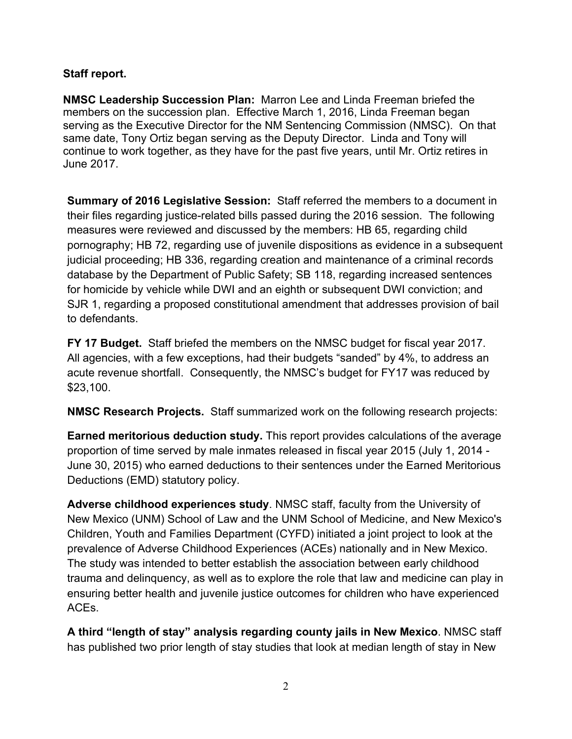## **Staff report.**

**NMSC Leadership Succession Plan:** Marron Lee and Linda Freeman briefed the members on the succession plan. Effective March 1, 2016, Linda Freeman began serving as the Executive Director for the NM Sentencing Commission (NMSC). On that same date, Tony Ortiz began serving as the Deputy Director. Linda and Tony will continue to work together, as they have for the past five years, until Mr. Ortiz retires in June 2017.

**Summary of 2016 Legislative Session:** Staff referred the members to a document in their files regarding justice-related bills passed during the 2016 session. The following measures were reviewed and discussed by the members: HB 65, regarding child pornography; HB 72, regarding use of juvenile dispositions as evidence in a subsequent judicial proceeding; HB 336, regarding creation and maintenance of a criminal records database by the Department of Public Safety; SB 118, regarding increased sentences for homicide by vehicle while DWI and an eighth or subsequent DWI conviction; and SJR 1, regarding a proposed constitutional amendment that addresses provision of bail to defendants.

**FY 17 Budget.** Staff briefed the members on the NMSC budget for fiscal year 2017. All agencies, with a few exceptions, had their budgets "sanded" by 4%, to address an acute revenue shortfall. Consequently, the NMSC's budget for FY17 was reduced by \$23,100.

**NMSC Research Projects.** Staff summarized work on the following research projects:

**Earned meritorious deduction study.** This report provides calculations of the average proportion of time served by male inmates released in fiscal year 2015 (July 1, 2014 - June 30, 2015) who earned deductions to their sentences under the Earned Meritorious Deductions (EMD) statutory policy.

**Adverse childhood experiences study**. NMSC staff, faculty from the University of New Mexico (UNM) School of Law and the UNM School of Medicine, and New Mexico's Children, Youth and Families Department (CYFD) initiated a joint project to look at the prevalence of Adverse Childhood Experiences (ACEs) nationally and in New Mexico. The study was intended to better establish the association between early childhood trauma and delinquency, as well as to explore the role that law and medicine can play in ensuring better health and juvenile justice outcomes for children who have experienced ACEs.

**A third "length of stay" analysis regarding county jails in New Mexico**. NMSC staff has published two prior length of stay studies that look at median length of stay in New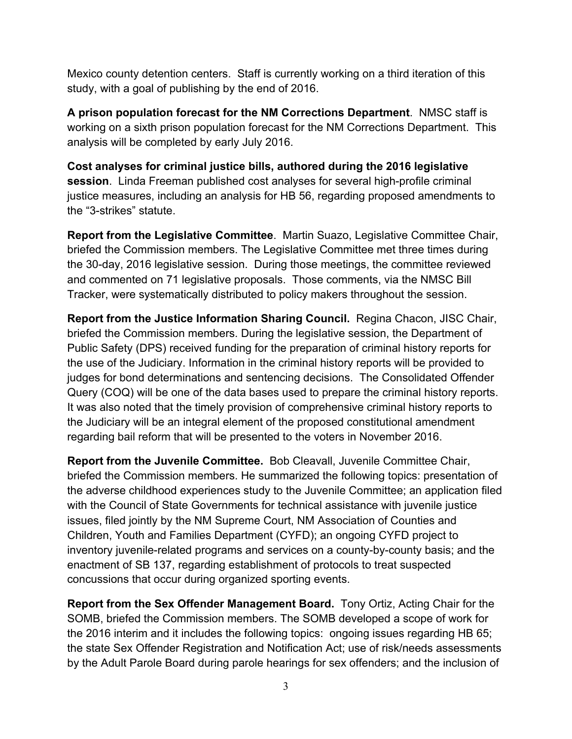Mexico county detention centers. Staff is currently working on a third iteration of this study, with a goal of publishing by the end of 2016.

**A prison population forecast for the NM Corrections Department**. NMSC staff is working on a sixth prison population forecast for the NM Corrections Department. This analysis will be completed by early July 2016.

**Cost analyses for criminal justice bills, authored during the 2016 legislative session**. Linda Freeman published cost analyses for several high-profile criminal justice measures, including an analysis for HB 56, regarding proposed amendments to the "3-strikes" statute.

**Report from the Legislative Committee**. Martin Suazo, Legislative Committee Chair, briefed the Commission members. The Legislative Committee met three times during the 30-day, 2016 legislative session. During those meetings, the committee reviewed and commented on 71 legislative proposals. Those comments, via the NMSC Bill Tracker, were systematically distributed to policy makers throughout the session.

**Report from the Justice Information Sharing Council.** Regina Chacon, JISC Chair, briefed the Commission members. During the legislative session, the Department of Public Safety (DPS) received funding for the preparation of criminal history reports for the use of the Judiciary. Information in the criminal history reports will be provided to judges for bond determinations and sentencing decisions. The Consolidated Offender Query (COQ) will be one of the data bases used to prepare the criminal history reports. It was also noted that the timely provision of comprehensive criminal history reports to the Judiciary will be an integral element of the proposed constitutional amendment regarding bail reform that will be presented to the voters in November 2016.

**Report from the Juvenile Committee.** Bob Cleavall, Juvenile Committee Chair, briefed the Commission members. He summarized the following topics: presentation of the adverse childhood experiences study to the Juvenile Committee; an application filed with the Council of State Governments for technical assistance with juvenile justice issues, filed jointly by the NM Supreme Court, NM Association of Counties and Children, Youth and Families Department (CYFD); an ongoing CYFD project to inventory juvenile-related programs and services on a county-by-county basis; and the enactment of SB 137, regarding establishment of protocols to treat suspected concussions that occur during organized sporting events.

**Report from the Sex Offender Management Board.** Tony Ortiz, Acting Chair for the SOMB, briefed the Commission members. The SOMB developed a scope of work for the 2016 interim and it includes the following topics: ongoing issues regarding HB 65; the state Sex Offender Registration and Notification Act; use of risk/needs assessments by the Adult Parole Board during parole hearings for sex offenders; and the inclusion of